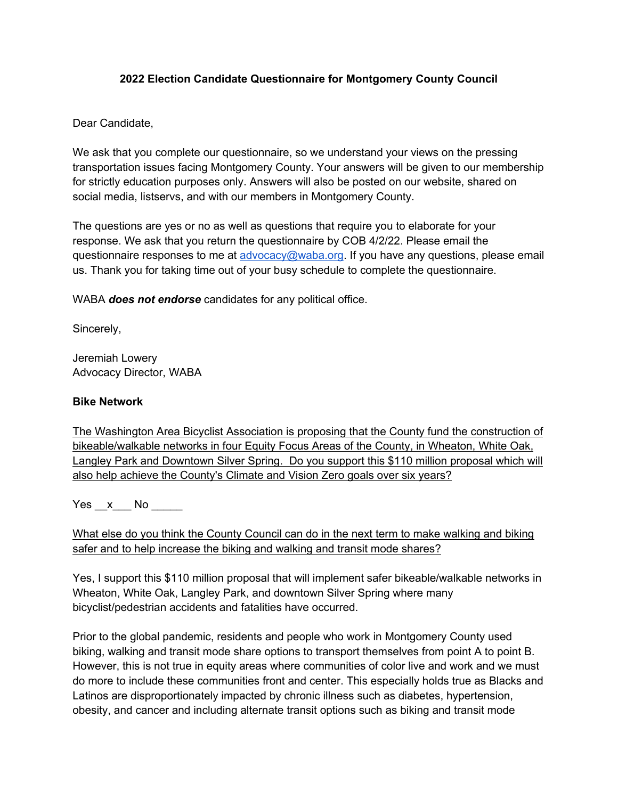### **2022 Election Candidate Questionnaire for Montgomery County Council**

### Dear Candidate,

We ask that you complete our questionnaire, so we understand your views on the pressing transportation issues facing Montgomery County. Your answers will be given to our membership for strictly education purposes only. Answers will also be posted on our website, shared on social media, listservs, and with our members in Montgomery County.

The questions are yes or no as well as questions that require you to elaborate for your response. We ask that you return the questionnaire by COB 4/2/22. Please email the questionnaire responses to me at advocacy@waba.org. If you have any questions, please email us. Thank you for taking time out of your busy schedule to complete the questionnaire.

WABA *does not endorse* candidates for any political office.

Sincerely,

Jeremiah Lowery Advocacy Director, WABA

#### **Bike Network**

The Washington Area Bicyclist Association is proposing that the County fund the construction of bikeable/walkable networks in four Equity Focus Areas of the County, in Wheaton, White Oak, Langley Park and Downtown Silver Spring. Do you support this \$110 million proposal which will also help achieve the County's Climate and Vision Zero goals over six years?

Yes x No  $\blacksquare$ 

What else do you think the County Council can do in the next term to make walking and biking safer and to help increase the biking and walking and transit mode shares?

Yes, I support this \$110 million proposal that will implement safer bikeable/walkable networks in Wheaton, White Oak, Langley Park, and downtown Silver Spring where many bicyclist/pedestrian accidents and fatalities have occurred.

Prior to the global pandemic, residents and people who work in Montgomery County used biking, walking and transit mode share options to transport themselves from point A to point B. However, this is not true in equity areas where communities of color live and work and we must do more to include these communities front and center. This especially holds true as Blacks and Latinos are disproportionately impacted by chronic illness such as diabetes, hypertension, obesity, and cancer and including alternate transit options such as biking and transit mode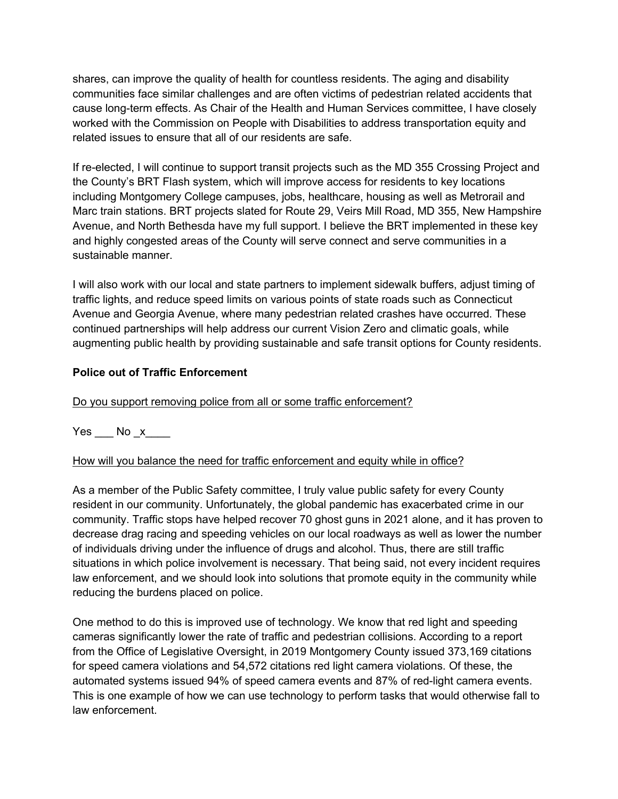shares, can improve the quality of health for countless residents. The aging and disability communities face similar challenges and are often victims of pedestrian related accidents that cause long-term effects. As Chair of the Health and Human Services committee, I have closely worked with the Commission on People with Disabilities to address transportation equity and related issues to ensure that all of our residents are safe.

If re-elected, I will continue to support transit projects such as the MD 355 Crossing Project and the County's BRT Flash system, which will improve access for residents to key locations including Montgomery College campuses, jobs, healthcare, housing as well as Metrorail and Marc train stations. BRT projects slated for Route 29, Veirs Mill Road, MD 355, New Hampshire Avenue, and North Bethesda have my full support. I believe the BRT implemented in these key and highly congested areas of the County will serve connect and serve communities in a sustainable manner.

I will also work with our local and state partners to implement sidewalk buffers, adjust timing of traffic lights, and reduce speed limits on various points of state roads such as Connecticut Avenue and Georgia Avenue, where many pedestrian related crashes have occurred. These continued partnerships will help address our current Vision Zero and climatic goals, while augmenting public health by providing sustainable and safe transit options for County residents.

### **Police out of Traffic Enforcement**

Do you support removing police from all or some traffic enforcement?

Yes No x

How will you balance the need for traffic enforcement and equity while in office?

As a member of the Public Safety committee, I truly value public safety for every County resident in our community. Unfortunately, the global pandemic has exacerbated crime in our community. Traffic stops have helped recover 70 ghost guns in 2021 alone, and it has proven to decrease drag racing and speeding vehicles on our local roadways as well as lower the number of individuals driving under the influence of drugs and alcohol. Thus, there are still traffic situations in which police involvement is necessary. That being said, not every incident requires law enforcement, and we should look into solutions that promote equity in the community while reducing the burdens placed on police.

One method to do this is improved use of technology. We know that red light and speeding cameras significantly lower the rate of traffic and pedestrian collisions. According to a report from the Office of Legislative Oversight, in 2019 Montgomery County issued 373,169 citations for speed camera violations and 54,572 citations red light camera violations. Of these, the automated systems issued 94% of speed camera events and 87% of red-light camera events. This is one example of how we can use technology to perform tasks that would otherwise fall to law enforcement.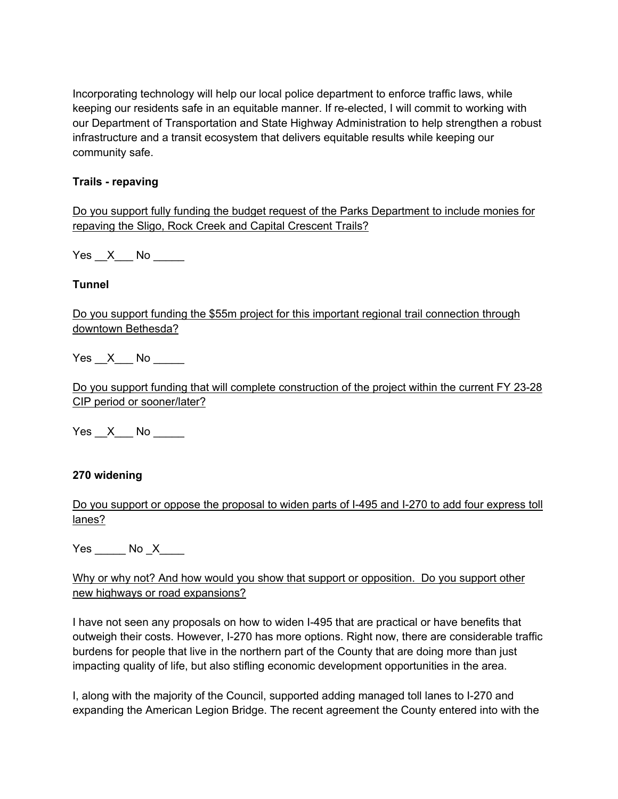Incorporating technology will help our local police department to enforce traffic laws, while keeping our residents safe in an equitable manner. If re-elected, I will commit to working with our Department of Transportation and State Highway Administration to help strengthen a robust infrastructure and a transit ecosystem that delivers equitable results while keeping our community safe.

### **Trails - repaving**

Do you support fully funding the budget request of the Parks Department to include monies for repaving the Sligo, Rock Creek and Capital Crescent Trails?

Yes X No  $\blacksquare$ 

# **Tunnel**

Do you support funding the \$55m project for this important regional trail connection through downtown Bethesda?

Yes X No  $\blacksquare$ 

Do you support funding that will complete construction of the project within the current FY 23-28 CIP period or sooner/later?

Yes X No

# **270 widening**

Do you support or oppose the proposal to widen parts of I-495 and I-270 to add four express toll lanes?

 $Yes$   $No$   $X$   $\qquad$ 

Why or why not? And how would you show that support or opposition. Do you support other new highways or road expansions?

I have not seen any proposals on how to widen I-495 that are practical or have benefits that outweigh their costs. However, I-270 has more options. Right now, there are considerable traffic burdens for people that live in the northern part of the County that are doing more than just impacting quality of life, but also stifling economic development opportunities in the area.

I, along with the majority of the Council, supported adding managed toll lanes to I-270 and expanding the American Legion Bridge. The recent agreement the County entered into with the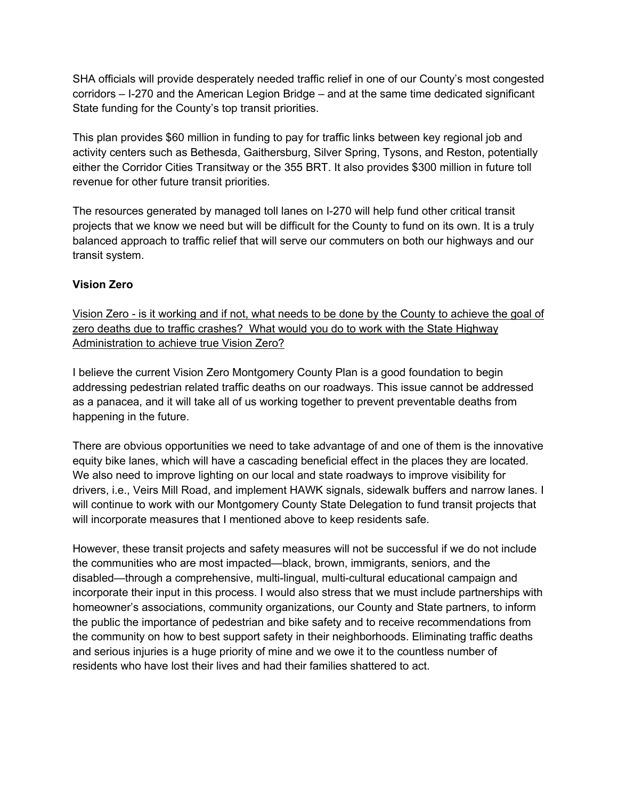SHA officials will provide desperately needed traffic relief in one of our County's most congested corridors – I-270 and the American Legion Bridge – and at the same time dedicated significant State funding for the County's top transit priorities.

This plan provides \$60 million in funding to pay for traffic links between key regional job and activity centers such as Bethesda, Gaithersburg, Silver Spring, Tysons, and Reston, potentially either the Corridor Cities Transitway or the 355 BRT. It also provides \$300 million in future toll revenue for other future transit priorities.

The resources generated by managed toll lanes on I-270 will help fund other critical transit projects that we know we need but will be difficult for the County to fund on its own. It is a truly balanced approach to traffic relief that will serve our commuters on both our highways and our transit system.

# **Vision Zero**

Vision Zero - is it working and if not, what needs to be done by the County to achieve the goal of zero deaths due to traffic crashes? What would you do to work with the State Highway Administration to achieve true Vision Zero?

I believe the current Vision Zero Montgomery County Plan is a good foundation to begin addressing pedestrian related traffic deaths on our roadways. This issue cannot be addressed as a panacea, and it will take all of us working together to prevent preventable deaths from happening in the future.

There are obvious opportunities we need to take advantage of and one of them is the innovative equity bike lanes, which will have a cascading beneficial effect in the places they are located. We also need to improve lighting on our local and state roadways to improve visibility for drivers, i.e., Veirs Mill Road, and implement HAWK signals, sidewalk buffers and narrow lanes. I will continue to work with our Montgomery County State Delegation to fund transit projects that will incorporate measures that I mentioned above to keep residents safe.

However, these transit projects and safety measures will not be successful if we do not include the communities who are most impacted—black, brown, immigrants, seniors, and the disabled—through a comprehensive, multi-lingual, multi-cultural educational campaign and incorporate their input in this process. I would also stress that we must include partnerships with homeowner's associations, community organizations, our County and State partners, to inform the public the importance of pedestrian and bike safety and to receive recommendations from the community on how to best support safety in their neighborhoods. Eliminating traffic deaths and serious injuries is a huge priority of mine and we owe it to the countless number of residents who have lost their lives and had their families shattered to act.